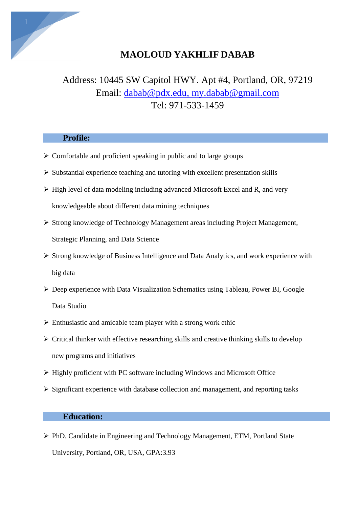

# **MAOLOUD YAKHLIF DABAB**

# Address: 10445 SW Capitol HWY. Apt #4, Portland, OR, 97219 Email: [dabab@pdx.edu,](mailto:dabab@pdx.edu) [my.dabab@gmail.com](mailto:my.dabab@gmail.com) Tel: 971-533-1459

# **Profile:**

- $\triangleright$  Comfortable and proficient speaking in public and to large groups
- $\triangleright$  Substantial experience teaching and tutoring with excellent presentation skills
- $\triangleright$  High level of data modeling including advanced Microsoft Excel and R, and very knowledgeable about different data mining techniques
- Strong knowledge of Technology Management areas including Project Management, Strategic Planning, and Data Science
- $\triangleright$  Strong knowledge of Business Intelligence and Data Analytics, and work experience with big data
- Deep experience with Data Visualization Schematics using Tableau, Power BI, Google Data Studio
- $\triangleright$  Enthusiastic and amicable team player with a strong work ethic
- $\triangleright$  Critical thinker with effective researching skills and creative thinking skills to develop new programs and initiatives
- $\triangleright$  Highly proficient with PC software including Windows and Microsoft Office
- $\triangleright$  Significant experience with database collection and management, and reporting tasks

# **Education:**

 PhD. Candidate in Engineering and Technology Management, ETM, Portland State University, Portland, OR, USA, GPA:3.93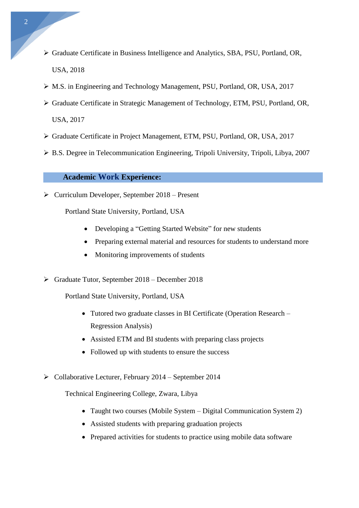- Graduate Certificate in Business Intelligence and Analytics, SBA, PSU, Portland, OR, USA, 2018
- M.S. in Engineering and Technology Management, PSU, Portland, OR, USA, 2017
- Graduate Certificate in Strategic Management of Technology, ETM, PSU, Portland, OR, USA, 2017
- Graduate Certificate in Project Management, ETM, PSU, Portland, OR, USA, 2017
- B.S. Degree in Telecommunication Engineering, Tripoli University, Tripoli, Libya, 2007

#### **Academic Work Experience:**

 $\triangleright$  Curriculum Developer, September 2018 – Present

Portland State University, Portland, USA

- Developing a "Getting Started Website" for new students
- Preparing external material and resources for students to understand more
- Monitoring improvements of students
- $\triangleright$  Graduate Tutor, September 2018 December 2018
	- Portland State University, Portland, USA
		- Tutored two graduate classes in BI Certificate (Operation Research Regression Analysis)
		- Assisted ETM and BI students with preparing class projects
		- Followed up with students to ensure the success
- $\triangleright$  Collaborative Lecturer, February 2014 September 2014

Technical Engineering College, Zwara, Libya

- Taught two courses (Mobile System Digital Communication System 2)
- Assisted students with preparing graduation projects
- Prepared activities for students to practice using mobile data software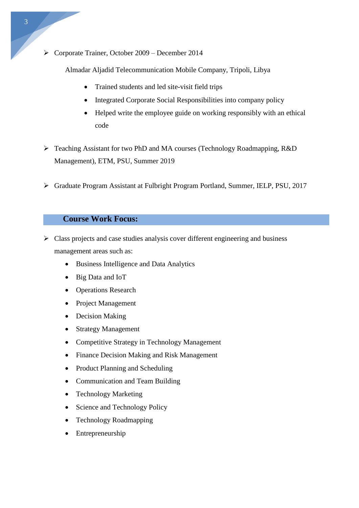Corporate Trainer, October 2009 – December 2014

Almadar Aljadid Telecommunication Mobile Company, Tripoli, Libya

- Trained students and led site-visit field trips
- Integrated Corporate Social Responsibilities into company policy
- Helped write the employee guide on working responsibly with an ethical code
- Teaching Assistant for two PhD and MA courses (Technology Roadmapping, R&D Management), ETM, PSU, Summer 2019
- Graduate Program Assistant at Fulbright Program Portland, Summer, IELP, PSU, 2017

#### **Course Work Focus:**

- $\triangleright$  Class projects and case studies analysis cover different engineering and business management areas such as:
	- Business Intelligence and Data Analytics
	- Big Data and IoT
	- Operations Research
	- Project Management
	- Decision Making
	- Strategy Management
	- Competitive Strategy in Technology Management
	- Finance Decision Making and Risk Management
	- Product Planning and Scheduling
	- Communication and Team Building
	- Technology Marketing
	- Science and Technology Policy
	- Technology Roadmapping
	- Entrepreneurship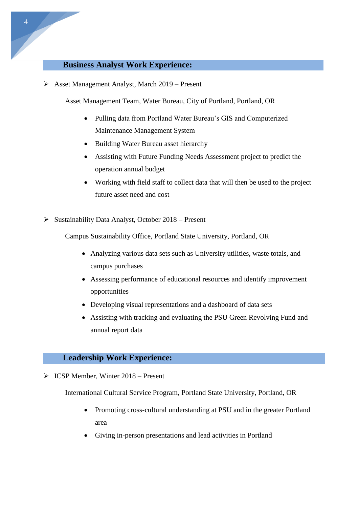#### **Business Analyst Work Experience:**

Asset Management Analyst, March 2019 – Present

Asset Management Team, Water Bureau, City of Portland, Portland, OR

- Pulling data from Portland Water Bureau's GIS and Computerized Maintenance Management System
- Building Water Bureau asset hierarchy
- Assisting with Future Funding Needs Assessment project to predict the operation annual budget
- Working with field staff to collect data that will then be used to the project future asset need and cost
- $\triangleright$  Sustainability Data Analyst, October 2018 Present

Campus Sustainability Office, Portland State University, Portland, OR

- Analyzing various data sets such as University utilities, waste totals, and campus purchases
- Assessing performance of educational resources and identify improvement opportunities
- Developing visual representations and a dashboard of data sets
- Assisting with tracking and evaluating the PSU Green Revolving Fund and annual report data

#### **Leadership Work Experience:**

 $\triangleright$  ICSP Member, Winter 2018 – Present

International Cultural Service Program, Portland State University, Portland, OR

- Promoting cross-cultural understanding at PSU and in the greater Portland area
- Giving in-person presentations and lead activities in Portland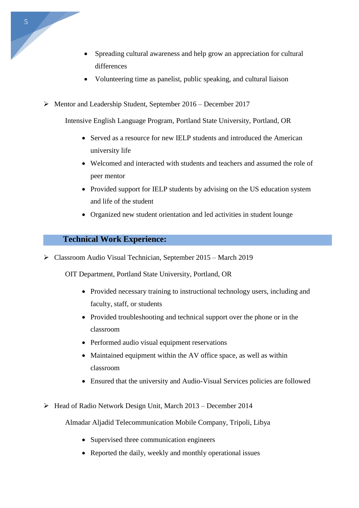- Spreading cultural awareness and help grow an appreciation for cultural differences
- Volunteering time as panelist, public speaking, and cultural liaison
- Mentor and Leadership Student, September 2016 December 2017

Intensive English Language Program, Portland State University, Portland, OR

- Served as a resource for new IELP students and introduced the American university life
- Welcomed and interacted with students and teachers and assumed the role of peer mentor
- Provided support for IELP students by advising on the US education system and life of the student
- Organized new student orientation and led activities in student lounge

# **Technical Work Experience:**

Classroom Audio Visual Technician, September 2015 – March 2019

OIT Department, Portland State University, Portland, OR

- Provided necessary training to instructional technology users, including and faculty, staff, or students
- Provided troubleshooting and technical support over the phone or in the classroom
- Performed audio visual equipment reservations
- Maintained equipment within the AV office space, as well as within classroom
- Ensured that the university and Audio-Visual Services policies are followed
- $\triangleright$  Head of Radio Network Design Unit, March 2013 December 2014
	- Almadar Aljadid Telecommunication Mobile Company, Tripoli, Libya
		- Supervised three communication engineers
		- Reported the daily, weekly and monthly operational issues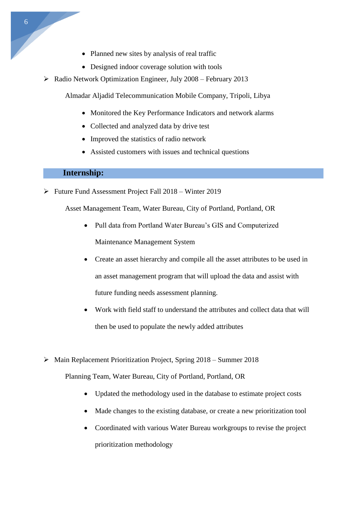- Planned new sites by analysis of real traffic
- Designed indoor coverage solution with tools
- $\triangleright$  Radio Network Optimization Engineer, July 2008 February 2013

Almadar Aljadid Telecommunication Mobile Company, Tripoli, Libya

- Monitored the Key Performance Indicators and network alarms
- Collected and analyzed data by drive test
- Improved the statistics of radio network
- Assisted customers with issues and technical questions

#### **Internship:**

Future Fund Assessment Project Fall 2018 – Winter 2019

Asset Management Team, Water Bureau, City of Portland, Portland, OR

- Pull data from Portland Water Bureau's GIS and Computerized Maintenance Management System
- Create an asset hierarchy and compile all the asset attributes to be used in an asset management program that will upload the data and assist with future funding needs assessment planning.
- Work with field staff to understand the attributes and collect data that will then be used to populate the newly added attributes
- Main Replacement Prioritization Project, Spring 2018 Summer 2018

Planning Team, Water Bureau, City of Portland, Portland, OR

- Updated the methodology used in the database to estimate project costs
- Made changes to the existing database, or create a new prioritization tool
- Coordinated with various Water Bureau workgroups to revise the project prioritization methodology

6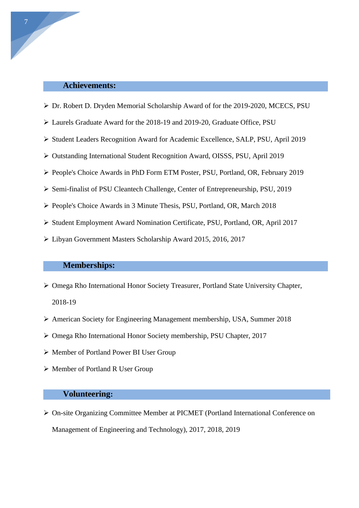# **Achievements:**

- Dr. Robert D. Dryden Memorial Scholarship Award of for the 2019-2020, MCECS, PSU
- Laurels Graduate Award for the 2018-19 and 2019-20, Graduate Office, PSU
- Student Leaders Recognition Award for Academic Excellence, SALP, PSU, April 2019
- Outstanding International Student Recognition Award, OISSS, PSU, April 2019
- People's Choice Awards in PhD Form ETM Poster, PSU, Portland, OR, February 2019
- Semi-finalist of PSU Cleantech Challenge, Center of Entrepreneurship, PSU, 2019
- People's Choice Awards in 3 Minute Thesis, PSU, Portland, OR, March 2018
- Student Employment Award Nomination Certificate, PSU, Portland, OR, April 2017
- Libyan Government Masters Scholarship Award 2015, 2016, 2017

# **Memberships:**

- Omega Rho International Honor Society Treasurer, Portland State University Chapter, 2018-19
- American Society for Engineering Management membership, USA, Summer 2018
- Omega Rho International Honor Society membership, PSU Chapter, 2017
- Member of Portland Power BI User Group
- Member of Portland R User Group

#### **Volunteering:**

 On-site Organizing Committee Member at PICMET (Portland International Conference on Management of Engineering and Technology), 2017, 2018, 2019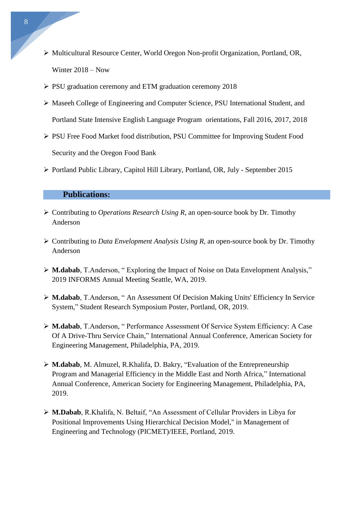- Multicultural Resource Center, World Oregon Non-profit Organization, Portland, OR, Winter 2018 – Now
- PSU graduation ceremony and ETM graduation ceremony 2018
- Maseeh College of Engineering and Computer Science, PSU International Student, and Portland State Intensive English Language Program orientations, Fall 2016, 2017, 2018
- PSU Free Food Market food distribution, PSU Committee for Improving Student Food Security and the Oregon Food Bank
- Portland Public Library, Capitol Hill Library, Portland, OR, July September 2015

#### **Publications:**

- Contributing to *Operations Research Using R*, an open-source book by Dr. Timothy Anderson
- Contributing to *Data Envelopment Analysis Using R*, an open-source book by Dr. Timothy Anderson
- **M.dabab**, T.Anderson, " Exploring the Impact of Noise on Data Envelopment Analysis," 2019 INFORMS Annual Meeting Seattle, WA, 2019.
- **M.dabab**, T.Anderson, " An Assessment Of Decision Making Units' Efficiency In Service System," Student Research Symposium Poster, Portland, OR, 2019.
- **M.dabab**, T.Anderson, " Performance Assessment Of Service System Efficiency: A Case Of A Drive-Thru Service Chain," International Annual Conference, American Society for Engineering Management, Philadelphia, PA, 2019.
- **M.dabab**, M. Almuzel, R.Khalifa, D. Bakry, "Evaluation of the Entrepreneurship Program and Managerial Efficiency in the Middle East and North Africa," International Annual Conference, American Society for Engineering Management, Philadelphia, PA, 2019.
- **M.Dabab**, R.Khalifa, N. Beltaif, "An Assessment of Cellular Providers in Libya for Positional Improvements Using Hierarchical Decision Model," in Management of Engineering and Technology (PICMET)/IEEE, Portland, 2019.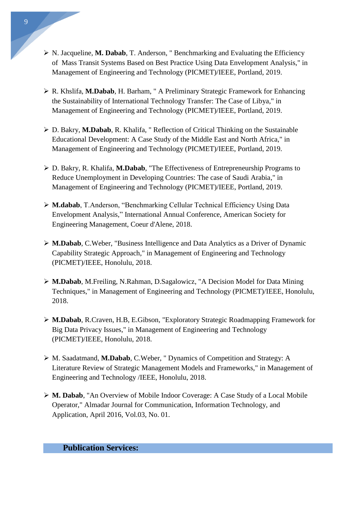- ▶ N. Jacqueline, M. Dabab, T. Anderson, " Benchmarking and Evaluating the Efficiency of Mass Transit Systems Based on Best Practice Using Data Envelopment Analysis," in Management of Engineering and Technology (PICMET)/IEEE, Portland, 2019.
- R. Khslifa, **M.Dabab**, H. Barham, " A Preliminary Strategic Framework for Enhancing the Sustainability of International Technology Transfer: The Case of Libya," in Management of Engineering and Technology (PICMET)/IEEE, Portland, 2019.
- D. Bakry, **M.Dabab**, R. Khalifa, " Reflection of Critical Thinking on the Sustainable Educational Development: A Case Study of the Middle East and North Africa," in Management of Engineering and Technology (PICMET)/IEEE, Portland, 2019.
- D. Bakry, R. Khalifa, **M.Dabab**, "The Effectiveness of Entrepreneurship Programs to Reduce Unemployment in Developing Countries: The case of Saudi Arabia," in Management of Engineering and Technology (PICMET)/IEEE, Portland, 2019.
- **M.dabab**, T.Anderson, "Benchmarking Cellular Technical Efficiency Using Data Envelopment Analysis," International Annual Conference, American Society for Engineering Management, Coeur d'Alene, 2018.
- **M.Dabab**, C.Weber, "Business Intelligence and Data Analytics as a Driver of Dynamic Capability Strategic Approach," in Management of Engineering and Technology (PICMET)/IEEE, Honolulu, 2018.
- **M.Dabab**, M.Freiling, N.Rahman, D.Sagalowicz, "A Decision Model for Data Mining Techniques," in Management of Engineering and Technology (PICMET)/IEEE, Honolulu, 2018.
- **M.Dabab**, R.Craven, H.B, E.Gibson, "Exploratory Strategic Roadmapping Framework for Big Data Privacy Issues," in Management of Engineering and Technology (PICMET)/IEEE, Honolulu, 2018.
- M. Saadatmand, **M.Dabab**, C.Weber, " Dynamics of Competition and Strategy: A Literature Review of Strategic Management Models and Frameworks," in Management of Engineering and Technology /IEEE, Honolulu, 2018.
- **M. Dabab**, "An Overview of Mobile Indoor Coverage: A Case Study of a Local Mobile Operator," Almadar Journal for Communication, Information Technology, and Application, April 2016, Vol.03, No. 01.